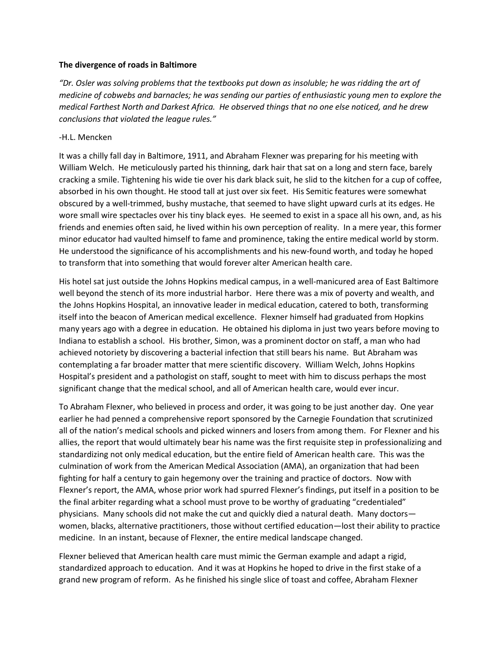## **The divergence of roads in Baltimore**

*"Dr. Osler was solving problems that the textbooks put down as insoluble; he was ridding the art of medicine of cobwebs and barnacles; he was sending our parties of enthusiastic young men to explore the medical Farthest North and Darkest Africa. He observed things that no one else noticed, and he drew conclusions that violated the league rules."*

## -H.L. Mencken

It was a chilly fall day in Baltimore, 1911, and Abraham Flexner was preparing for his meeting with William Welch. He meticulously parted his thinning, dark hair that sat on a long and stern face, barely cracking a smile. Tightening his wide tie over his dark black suit, he slid to the kitchen for a cup of coffee, absorbed in his own thought. He stood tall at just over six feet. His Semitic features were somewhat obscured by a well-trimmed, bushy mustache, that seemed to have slight upward curls at its edges. He wore small wire spectacles over his tiny black eyes. He seemed to exist in a space all his own, and, as his friends and enemies often said, he lived within his own perception of reality. In a mere year, this former minor educator had vaulted himself to fame and prominence, taking the entire medical world by storm. He understood the significance of his accomplishments and his new-found worth, and today he hoped to transform that into something that would forever alter American health care.

His hotel sat just outside the Johns Hopkins medical campus, in a well-manicured area of East Baltimore well beyond the stench of its more industrial harbor. Here there was a mix of poverty and wealth, and the Johns Hopkins Hospital, an innovative leader in medical education, catered to both, transforming itself into the beacon of American medical excellence. Flexner himself had graduated from Hopkins many years ago with a degree in education. He obtained his diploma in just two years before moving to Indiana to establish a school. His brother, Simon, was a prominent doctor on staff, a man who had achieved notoriety by discovering a bacterial infection that still bears his name. But Abraham was contemplating a far broader matter that mere scientific discovery. William Welch, Johns Hopkins Hospital's president and a pathologist on staff, sought to meet with him to discuss perhaps the most significant change that the medical school, and all of American health care, would ever incur.

To Abraham Flexner, who believed in process and order, it was going to be just another day. One year earlier he had penned a comprehensive report sponsored by the Carnegie Foundation that scrutinized all of the nation's medical schools and picked winners and losers from among them. For Flexner and his allies, the report that would ultimately bear his name was the first requisite step in professionalizing and standardizing not only medical education, but the entire field of American health care. This was the culmination of work from the American Medical Association (AMA), an organization that had been fighting for half a century to gain hegemony over the training and practice of doctors. Now with Flexner's report, the AMA, whose prior work had spurred Flexner's findings, put itself in a position to be the final arbiter regarding what a school must prove to be worthy of graduating "credentialed" physicians. Many schools did not make the cut and quickly died a natural death. Many doctors women, blacks, alternative practitioners, those without certified education—lost their ability to practice medicine. In an instant, because of Flexner, the entire medical landscape changed.

Flexner believed that American health care must mimic the German example and adapt a rigid, standardized approach to education. And it was at Hopkins he hoped to drive in the first stake of a grand new program of reform. As he finished his single slice of toast and coffee, Abraham Flexner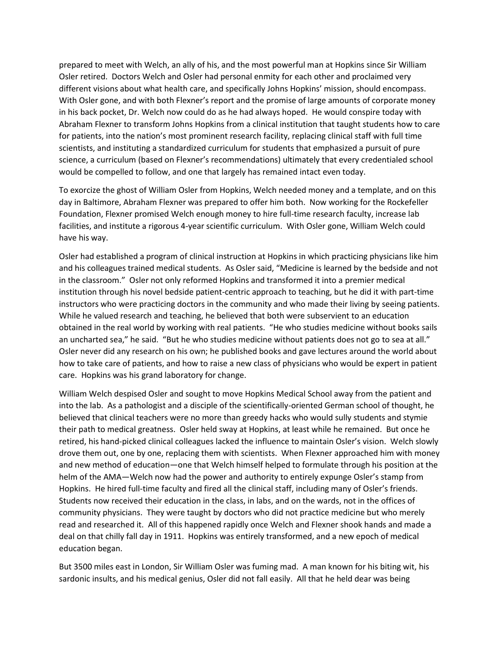prepared to meet with Welch, an ally of his, and the most powerful man at Hopkins since Sir William Osler retired. Doctors Welch and Osler had personal enmity for each other and proclaimed very different visions about what health care, and specifically Johns Hopkins' mission, should encompass. With Osler gone, and with both Flexner's report and the promise of large amounts of corporate money in his back pocket, Dr. Welch now could do as he had always hoped. He would conspire today with Abraham Flexner to transform Johns Hopkins from a clinical institution that taught students how to care for patients, into the nation's most prominent research facility, replacing clinical staff with full time scientists, and instituting a standardized curriculum for students that emphasized a pursuit of pure science, a curriculum (based on Flexner's recommendations) ultimately that every credentialed school would be compelled to follow, and one that largely has remained intact even today.

To exorcize the ghost of William Osler from Hopkins, Welch needed money and a template, and on this day in Baltimore, Abraham Flexner was prepared to offer him both. Now working for the Rockefeller Foundation, Flexner promised Welch enough money to hire full-time research faculty, increase lab facilities, and institute a rigorous 4-year scientific curriculum. With Osler gone, William Welch could have his way.

Osler had established a program of clinical instruction at Hopkins in which practicing physicians like him and his colleagues trained medical students. As Osler said, "Medicine is learned by the bedside and not in the classroom." Osler not only reformed Hopkins and transformed it into a premier medical institution through his novel bedside patient-centric approach to teaching, but he did it with part-time instructors who were practicing doctors in the community and who made their living by seeing patients. While he valued research and teaching, he believed that both were subservient to an education obtained in the real world by working with real patients. "He who studies medicine without books sails an uncharted sea," he said. "But he who studies medicine without patients does not go to sea at all." Osler never did any research on his own; he published books and gave lectures around the world about how to take care of patients, and how to raise a new class of physicians who would be expert in patient care. Hopkins was his grand laboratory for change.

William Welch despised Osler and sought to move Hopkins Medical School away from the patient and into the lab. As a pathologist and a disciple of the scientifically-oriented German school of thought, he believed that clinical teachers were no more than greedy hacks who would sully students and stymie their path to medical greatness. Osler held sway at Hopkins, at least while he remained. But once he retired, his hand-picked clinical colleagues lacked the influence to maintain Osler's vision. Welch slowly drove them out, one by one, replacing them with scientists. When Flexner approached him with money and new method of education—one that Welch himself helped to formulate through his position at the helm of the AMA—Welch now had the power and authority to entirely expunge Osler's stamp from Hopkins. He hired full-time faculty and fired all the clinical staff, including many of Osler's friends. Students now received their education in the class, in labs, and on the wards, not in the offices of community physicians. They were taught by doctors who did not practice medicine but who merely read and researched it. All of this happened rapidly once Welch and Flexner shook hands and made a deal on that chilly fall day in 1911. Hopkins was entirely transformed, and a new epoch of medical education began.

But 3500 miles east in London, Sir William Osler was fuming mad. A man known for his biting wit, his sardonic insults, and his medical genius, Osler did not fall easily. All that he held dear was being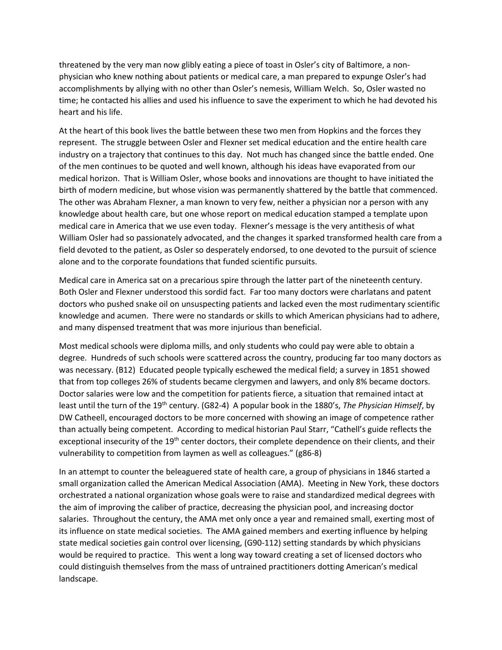threatened by the very man now glibly eating a piece of toast in Osler's city of Baltimore, a nonphysician who knew nothing about patients or medical care, a man prepared to expunge Osler's had accomplishments by allying with no other than Osler's nemesis, William Welch. So, Osler wasted no time; he contacted his allies and used his influence to save the experiment to which he had devoted his heart and his life.

At the heart of this book lives the battle between these two men from Hopkins and the forces they represent. The struggle between Osler and Flexner set medical education and the entire health care industry on a trajectory that continues to this day. Not much has changed since the battle ended. One of the men continues to be quoted and well known, although his ideas have evaporated from our medical horizon. That is William Osler, whose books and innovations are thought to have initiated the birth of modern medicine, but whose vision was permanently shattered by the battle that commenced. The other was Abraham Flexner, a man known to very few, neither a physician nor a person with any knowledge about health care, but one whose report on medical education stamped a template upon medical care in America that we use even today. Flexner's message is the very antithesis of what William Osler had so passionately advocated, and the changes it sparked transformed health care from a field devoted to the patient, as Osler so desperately endorsed, to one devoted to the pursuit of science alone and to the corporate foundations that funded scientific pursuits.

Medical care in America sat on a precarious spire through the latter part of the nineteenth century. Both Osler and Flexner understood this sordid fact. Far too many doctors were charlatans and patent doctors who pushed snake oil on unsuspecting patients and lacked even the most rudimentary scientific knowledge and acumen. There were no standards or skills to which American physicians had to adhere, and many dispensed treatment that was more injurious than beneficial.

Most medical schools were diploma mills, and only students who could pay were able to obtain a degree. Hundreds of such schools were scattered across the country, producing far too many doctors as was necessary. (B12) Educated people typically eschewed the medical field; a survey in 1851 showed that from top colleges 26% of students became clergymen and lawyers, and only 8% became doctors. Doctor salaries were low and the competition for patients fierce, a situation that remained intact at least until the turn of the 19th century. (G82-4) A popular book in the 1880's, *The Physician Himself*, by DW Catheell, encouraged doctors to be more concerned with showing an image of competence rather than actually being competent. According to medical historian Paul Starr, "Cathell's guide reflects the exceptional insecurity of the 19<sup>th</sup> center doctors, their complete dependence on their clients, and their vulnerability to competition from laymen as well as colleagues." (g86-8)

In an attempt to counter the beleaguered state of health care, a group of physicians in 1846 started a small organization called the American Medical Association (AMA). Meeting in New York, these doctors orchestrated a national organization whose goals were to raise and standardized medical degrees with the aim of improving the caliber of practice, decreasing the physician pool, and increasing doctor salaries. Throughout the century, the AMA met only once a year and remained small, exerting most of its influence on state medical societies. The AMA gained members and exerting influence by helping state medical societies gain control over licensing, (G90-112) setting standards by which physicians would be required to practice. This went a long way toward creating a set of licensed doctors who could distinguish themselves from the mass of untrained practitioners dotting American's medical landscape.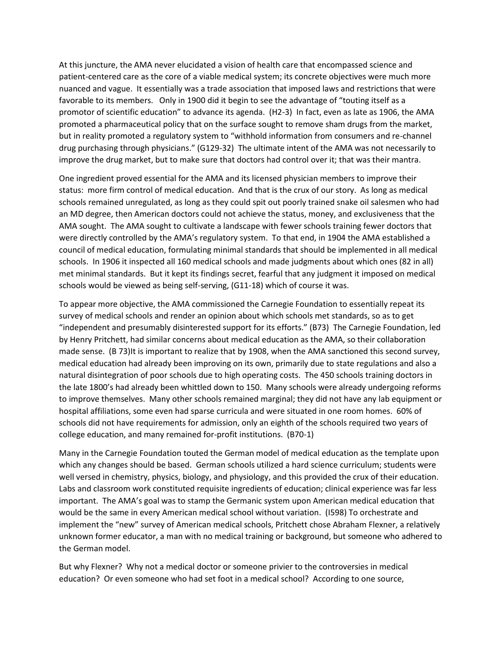At this juncture, the AMA never elucidated a vision of health care that encompassed science and patient-centered care as the core of a viable medical system; its concrete objectives were much more nuanced and vague. It essentially was a trade association that imposed laws and restrictions that were favorable to its members. Only in 1900 did it begin to see the advantage of "touting itself as a promotor of scientific education" to advance its agenda. (H2-3) In fact, even as late as 1906, the AMA promoted a pharmaceutical policy that on the surface sought to remove sham drugs from the market, but in reality promoted a regulatory system to "withhold information from consumers and re-channel drug purchasing through physicians." (G129-32) The ultimate intent of the AMA was not necessarily to improve the drug market, but to make sure that doctors had control over it; that was their mantra.

One ingredient proved essential for the AMA and its licensed physician members to improve their status: more firm control of medical education. And that is the crux of our story. As long as medical schools remained unregulated, as long as they could spit out poorly trained snake oil salesmen who had an MD degree, then American doctors could not achieve the status, money, and exclusiveness that the AMA sought. The AMA sought to cultivate a landscape with fewer schools training fewer doctors that were directly controlled by the AMA's regulatory system. To that end, in 1904 the AMA established a council of medical education, formulating minimal standards that should be implemented in all medical schools. In 1906 it inspected all 160 medical schools and made judgments about which ones (82 in all) met minimal standards. But it kept its findings secret, fearful that any judgment it imposed on medical schools would be viewed as being self-serving, (G11-18) which of course it was.

To appear more objective, the AMA commissioned the Carnegie Foundation to essentially repeat its survey of medical schools and render an opinion about which schools met standards, so as to get "independent and presumably disinterested support for its efforts." (B73) The Carnegie Foundation, led by Henry Pritchett, had similar concerns about medical education as the AMA, so their collaboration made sense. (B 73)It is important to realize that by 1908, when the AMA sanctioned this second survey, medical education had already been improving on its own, primarily due to state regulations and also a natural disintegration of poor schools due to high operating costs. The 450 schools training doctors in the late 1800's had already been whittled down to 150. Many schools were already undergoing reforms to improve themselves. Many other schools remained marginal; they did not have any lab equipment or hospital affiliations, some even had sparse curricula and were situated in one room homes. 60% of schools did not have requirements for admission, only an eighth of the schools required two years of college education, and many remained for-profit institutions. (B70-1)

Many in the Carnegie Foundation touted the German model of medical education as the template upon which any changes should be based. German schools utilized a hard science curriculum; students were well versed in chemistry, physics, biology, and physiology, and this provided the crux of their education. Labs and classroom work constituted requisite ingredients of education; clinical experience was far less important. The AMA's goal was to stamp the Germanic system upon American medical education that would be the same in every American medical school without variation. (I598) To orchestrate and implement the "new" survey of American medical schools, Pritchett chose Abraham Flexner, a relatively unknown former educator, a man with no medical training or background, but someone who adhered to the German model.

But why Flexner? Why not a medical doctor or someone privier to the controversies in medical education? Or even someone who had set foot in a medical school? According to one source,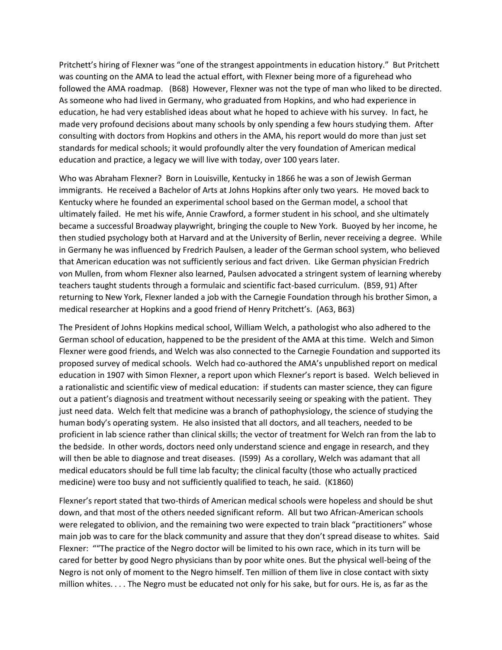Pritchett's hiring of Flexner was "one of the strangest appointments in education history." But Pritchett was counting on the AMA to lead the actual effort, with Flexner being more of a figurehead who followed the AMA roadmap. (B68) However, Flexner was not the type of man who liked to be directed. As someone who had lived in Germany, who graduated from Hopkins, and who had experience in education, he had very established ideas about what he hoped to achieve with his survey. In fact, he made very profound decisions about many schools by only spending a few hours studying them. After consulting with doctors from Hopkins and others in the AMA, his report would do more than just set standards for medical schools; it would profoundly alter the very foundation of American medical education and practice, a legacy we will live with today, over 100 years later.

Who was Abraham Flexner? Born in Louisville, Kentucky in 1866 he was a son of Jewish German immigrants. He received a Bachelor of Arts at Johns Hopkins after only two years. He moved back to Kentucky where he founded an experimental school based on the German model, a school that ultimately failed. He met his wife, Annie Crawford, a former student in his school, and she ultimately became a successful Broadway playwright, bringing the couple to New York. Buoyed by her income, he then studied psychology both at Harvard and at the University of Berlin, never receiving a degree. While in Germany he was influenced by Fredrich Paulsen, a leader of the German school system, who believed that American education was not sufficiently serious and fact driven. Like German physician Fredrich von Mullen, from whom Flexner also learned, Paulsen advocated a stringent system of learning whereby teachers taught students through a formulaic and scientific fact-based curriculum. (B59, 91) After returning to New York, Flexner landed a job with the Carnegie Foundation through his brother Simon, a medical researcher at Hopkins and a good friend of Henry Pritchett's. (A63, B63)

The President of Johns Hopkins medical school, William Welch, a pathologist who also adhered to the German school of education, happened to be the president of the AMA at this time. Welch and Simon Flexner were good friends, and Welch was also connected to the Carnegie Foundation and supported its proposed survey of medical schools. Welch had co-authored the AMA's unpublished report on medical education in 1907 with Simon Flexner, a report upon which Flexner's report is based. Welch believed in a rationalistic and scientific view of medical education: if students can master science, they can figure out a patient's diagnosis and treatment without necessarily seeing or speaking with the patient. They just need data. Welch felt that medicine was a branch of pathophysiology, the science of studying the human body's operating system. He also insisted that all doctors, and all teachers, needed to be proficient in lab science rather than clinical skills; the vector of treatment for Welch ran from the lab to the bedside. In other words, doctors need only understand science and engage in research, and they will then be able to diagnose and treat diseases. (I599) As a corollary, Welch was adamant that all medical educators should be full time lab faculty; the clinical faculty (those who actually practiced medicine) were too busy and not sufficiently qualified to teach, he said. (K1860)

Flexner's report stated that two-thirds of American medical schools were hopeless and should be shut down, and that most of the others needed significant reform. All but two African-American schools were relegated to oblivion, and the remaining two were expected to train black "practitioners" whose main job was to care for the black community and assure that they don't spread disease to whites. Said Flexner: ""The practice of the Negro doctor will be limited to his own race, which in its turn will be cared for better by good Negro physicians than by poor white ones. But the physical well-being of the Negro is not only of moment to the Negro himself. Ten million of them live in close contact with sixty million whites. . . . The Negro must be educated not only for his sake, but for ours. He is, as far as the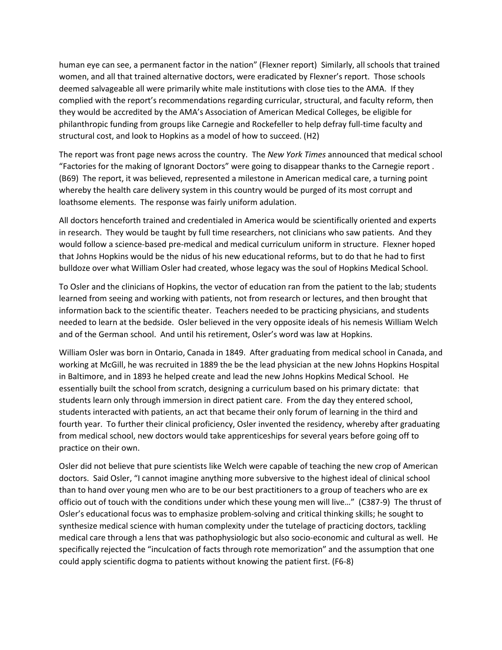human eye can see, a permanent factor in the nation" (Flexner report) Similarly, all schools that trained women, and all that trained alternative doctors, were eradicated by Flexner's report. Those schools deemed salvageable all were primarily white male institutions with close ties to the AMA. If they complied with the report's recommendations regarding curricular, structural, and faculty reform, then they would be accredited by the AMA's Association of American Medical Colleges, be eligible for philanthropic funding from groups like Carnegie and Rockefeller to help defray full-time faculty and structural cost, and look to Hopkins as a model of how to succeed. (H2)

The report was front page news across the country. The *New York Times* announced that medical school "Factories for the making of Ignorant Doctors" were going to disappear thanks to the Carnegie report . (B69) The report, it was believed, represented a milestone in American medical care, a turning point whereby the health care delivery system in this country would be purged of its most corrupt and loathsome elements. The response was fairly uniform adulation.

All doctors henceforth trained and credentialed in America would be scientifically oriented and experts in research. They would be taught by full time researchers, not clinicians who saw patients. And they would follow a science-based pre-medical and medical curriculum uniform in structure. Flexner hoped that Johns Hopkins would be the nidus of his new educational reforms, but to do that he had to first bulldoze over what William Osler had created, whose legacy was the soul of Hopkins Medical School.

To Osler and the clinicians of Hopkins, the vector of education ran from the patient to the lab; students learned from seeing and working with patients, not from research or lectures, and then brought that information back to the scientific theater. Teachers needed to be practicing physicians, and students needed to learn at the bedside. Osler believed in the very opposite ideals of his nemesis William Welch and of the German school. And until his retirement, Osler's word was law at Hopkins.

William Osler was born in Ontario, Canada in 1849. After graduating from medical school in Canada, and working at McGill, he was recruited in 1889 the be the lead physician at the new Johns Hopkins Hospital in Baltimore, and in 1893 he helped create and lead the new Johns Hopkins Medical School. He essentially built the school from scratch, designing a curriculum based on his primary dictate: that students learn only through immersion in direct patient care. From the day they entered school, students interacted with patients, an act that became their only forum of learning in the third and fourth year. To further their clinical proficiency, Osler invented the residency, whereby after graduating from medical school, new doctors would take apprenticeships for several years before going off to practice on their own.

Osler did not believe that pure scientists like Welch were capable of teaching the new crop of American doctors. Said Osler, "I cannot imagine anything more subversive to the highest ideal of clinical school than to hand over young men who are to be our best practitioners to a group of teachers who are ex officio out of touch with the conditions under which these young men will live…" (C387-9) The thrust of Osler's educational focus was to emphasize problem-solving and critical thinking skills; he sought to synthesize medical science with human complexity under the tutelage of practicing doctors, tackling medical care through a lens that was pathophysiologic but also socio-economic and cultural as well. He specifically rejected the "inculcation of facts through rote memorization" and the assumption that one could apply scientific dogma to patients without knowing the patient first. (F6-8)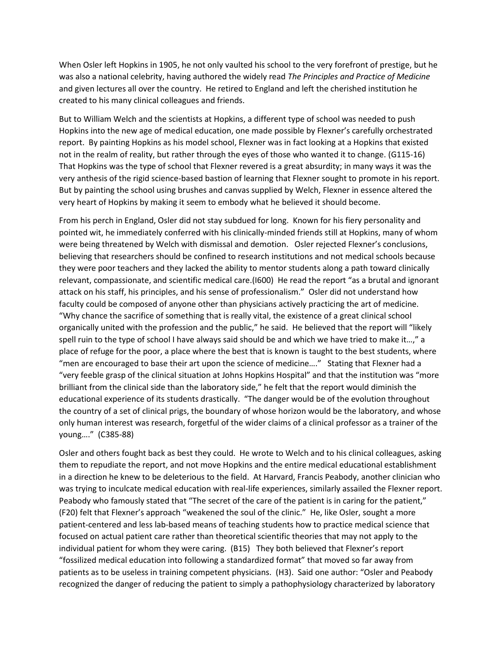When Osler left Hopkins in 1905, he not only vaulted his school to the very forefront of prestige, but he was also a national celebrity, having authored the widely read *The Principles and Practice of Medicine* and given lectures all over the country. He retired to England and left the cherished institution he created to his many clinical colleagues and friends.

But to William Welch and the scientists at Hopkins, a different type of school was needed to push Hopkins into the new age of medical education, one made possible by Flexner's carefully orchestrated report. By painting Hopkins as his model school, Flexner was in fact looking at a Hopkins that existed not in the realm of reality, but rather through the eyes of those who wanted it to change. (G115-16) That Hopkins was the type of school that Flexner revered is a great absurdity; in many ways it was the very anthesis of the rigid science-based bastion of learning that Flexner sought to promote in his report. But by painting the school using brushes and canvas supplied by Welch, Flexner in essence altered the very heart of Hopkins by making it seem to embody what he believed it should become.

From his perch in England, Osler did not stay subdued for long. Known for his fiery personality and pointed wit, he immediately conferred with his clinically-minded friends still at Hopkins, many of whom were being threatened by Welch with dismissal and demotion. Osler rejected Flexner's conclusions, believing that researchers should be confined to research institutions and not medical schools because they were poor teachers and they lacked the ability to mentor students along a path toward clinically relevant, compassionate, and scientific medical care.(I600) He read the report "as a brutal and ignorant attack on his staff, his principles, and his sense of professionalism." Osler did not understand how faculty could be composed of anyone other than physicians actively practicing the art of medicine. "Why chance the sacrifice of something that is really vital, the existence of a great clinical school organically united with the profession and the public," he said. He believed that the report will "likely spell ruin to the type of school I have always said should be and which we have tried to make it…," a place of refuge for the poor, a place where the best that is known is taught to the best students, where "men are encouraged to base their art upon the science of medicine…." Stating that Flexner had a "very feeble grasp of the clinical situation at Johns Hopkins Hospital" and that the institution was "more brilliant from the clinical side than the laboratory side," he felt that the report would diminish the educational experience of its students drastically. "The danger would be of the evolution throughout the country of a set of clinical prigs, the boundary of whose horizon would be the laboratory, and whose only human interest was research, forgetful of the wider claims of a clinical professor as a trainer of the young…." (C385-88)

Osler and others fought back as best they could. He wrote to Welch and to his clinical colleagues, asking them to repudiate the report, and not move Hopkins and the entire medical educational establishment in a direction he knew to be deleterious to the field. At Harvard, Francis Peabody, another clinician who was trying to inculcate medical education with real-life experiences, similarly assailed the Flexner report. Peabody who famously stated that "The secret of the care of the patient is in caring for the patient," (F20) felt that Flexner's approach "weakened the soul of the clinic." He, like Osler, sought a more patient-centered and less lab-based means of teaching students how to practice medical science that focused on actual patient care rather than theoretical scientific theories that may not apply to the individual patient for whom they were caring. (B15) They both believed that Flexner's report "fossilized medical education into following a standardized format" that moved so far away from patients as to be useless in training competent physicians. (H3). Said one author: "Osler and Peabody recognized the danger of reducing the patient to simply a pathophysiology characterized by laboratory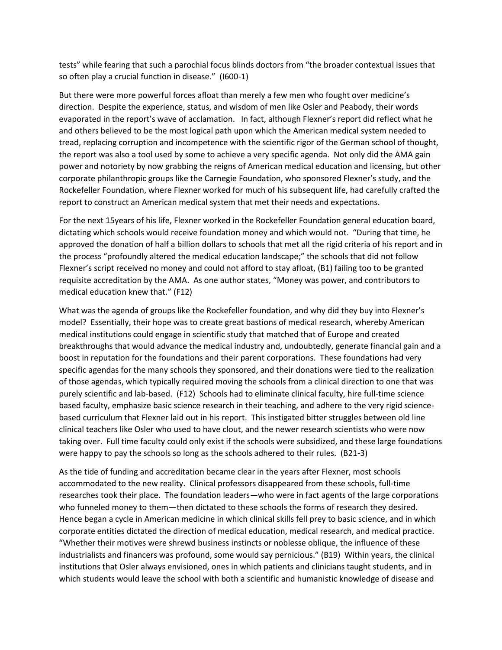tests" while fearing that such a parochial focus blinds doctors from "the broader contextual issues that so often play a crucial function in disease." (I600-1)

But there were more powerful forces afloat than merely a few men who fought over medicine's direction. Despite the experience, status, and wisdom of men like Osler and Peabody, their words evaporated in the report's wave of acclamation. In fact, although Flexner's report did reflect what he and others believed to be the most logical path upon which the American medical system needed to tread, replacing corruption and incompetence with the scientific rigor of the German school of thought, the report was also a tool used by some to achieve a very specific agenda. Not only did the AMA gain power and notoriety by now grabbing the reigns of American medical education and licensing, but other corporate philanthropic groups like the Carnegie Foundation, who sponsored Flexner's study, and the Rockefeller Foundation, where Flexner worked for much of his subsequent life, had carefully crafted the report to construct an American medical system that met their needs and expectations.

For the next 15years of his life, Flexner worked in the Rockefeller Foundation general education board, dictating which schools would receive foundation money and which would not. "During that time, he approved the donation of half a billion dollars to schools that met all the rigid criteria of his report and in the process "profoundly altered the medical education landscape;" the schools that did not follow Flexner's script received no money and could not afford to stay afloat, (B1) failing too to be granted requisite accreditation by the AMA. As one author states, "Money was power, and contributors to medical education knew that." (F12)

What was the agenda of groups like the Rockefeller foundation, and why did they buy into Flexner's model? Essentially, their hope was to create great bastions of medical research, whereby American medical institutions could engage in scientific study that matched that of Europe and created breakthroughs that would advance the medical industry and, undoubtedly, generate financial gain and a boost in reputation for the foundations and their parent corporations. These foundations had very specific agendas for the many schools they sponsored, and their donations were tied to the realization of those agendas, which typically required moving the schools from a clinical direction to one that was purely scientific and lab-based. (F12) Schools had to eliminate clinical faculty, hire full-time science based faculty, emphasize basic science research in their teaching, and adhere to the very rigid sciencebased curriculum that Flexner laid out in his report. This instigated bitter struggles between old line clinical teachers like Osler who used to have clout, and the newer research scientists who were now taking over. Full time faculty could only exist if the schools were subsidized, and these large foundations were happy to pay the schools so long as the schools adhered to their rules. (B21-3)

As the tide of funding and accreditation became clear in the years after Flexner, most schools accommodated to the new reality. Clinical professors disappeared from these schools, full-time researches took their place. The foundation leaders—who were in fact agents of the large corporations who funneled money to them—then dictated to these schools the forms of research they desired. Hence began a cycle in American medicine in which clinical skills fell prey to basic science, and in which corporate entities dictated the direction of medical education, medical research, and medical practice. "Whether their motives were shrewd business instincts or noblesse oblique, the influence of these industrialists and financers was profound, some would say pernicious." (B19) Within years, the clinical institutions that Osler always envisioned, ones in which patients and clinicians taught students, and in which students would leave the school with both a scientific and humanistic knowledge of disease and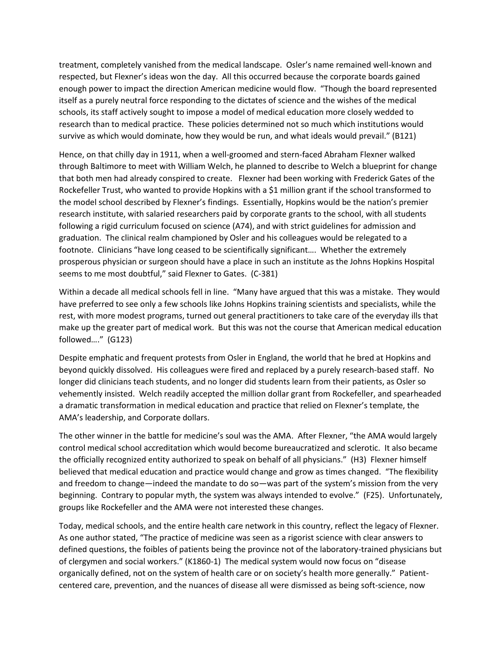treatment, completely vanished from the medical landscape. Osler's name remained well-known and respected, but Flexner's ideas won the day. All this occurred because the corporate boards gained enough power to impact the direction American medicine would flow. "Though the board represented itself as a purely neutral force responding to the dictates of science and the wishes of the medical schools, its staff actively sought to impose a model of medical education more closely wedded to research than to medical practice. These policies determined not so much which institutions would survive as which would dominate, how they would be run, and what ideals would prevail." (B121)

Hence, on that chilly day in 1911, when a well-groomed and stern-faced Abraham Flexner walked through Baltimore to meet with William Welch, he planned to describe to Welch a blueprint for change that both men had already conspired to create. Flexner had been working with Frederick Gates of the Rockefeller Trust, who wanted to provide Hopkins with a \$1 million grant if the school transformed to the model school described by Flexner's findings. Essentially, Hopkins would be the nation's premier research institute, with salaried researchers paid by corporate grants to the school, with all students following a rigid curriculum focused on science (A74), and with strict guidelines for admission and graduation. The clinical realm championed by Osler and his colleagues would be relegated to a footnote. Clinicians "have long ceased to be scientifically significant…. Whether the extremely prosperous physician or surgeon should have a place in such an institute as the Johns Hopkins Hospital seems to me most doubtful," said Flexner to Gates. (C-381)

Within a decade all medical schools fell in line. "Many have argued that this was a mistake. They would have preferred to see only a few schools like Johns Hopkins training scientists and specialists, while the rest, with more modest programs, turned out general practitioners to take care of the everyday ills that make up the greater part of medical work. But this was not the course that American medical education followed…." (G123)

Despite emphatic and frequent protests from Osler in England, the world that he bred at Hopkins and beyond quickly dissolved. His colleagues were fired and replaced by a purely research-based staff. No longer did clinicians teach students, and no longer did students learn from their patients, as Osler so vehemently insisted. Welch readily accepted the million dollar grant from Rockefeller, and spearheaded a dramatic transformation in medical education and practice that relied on Flexner's template, the AMA's leadership, and Corporate dollars.

The other winner in the battle for medicine's soul was the AMA. After Flexner, "the AMA would largely control medical school accreditation which would become bureaucratized and sclerotic. It also became the officially recognized entity authorized to speak on behalf of all physicians." (H3) Flexner himself believed that medical education and practice would change and grow as times changed. "The flexibility and freedom to change—indeed the mandate to do so—was part of the system's mission from the very beginning. Contrary to popular myth, the system was always intended to evolve." (F25). Unfortunately, groups like Rockefeller and the AMA were not interested these changes.

Today, medical schools, and the entire health care network in this country, reflect the legacy of Flexner. As one author stated, "The practice of medicine was seen as a rigorist science with clear answers to defined questions, the foibles of patients being the province not of the laboratory-trained physicians but of clergymen and social workers." (K1860-1) The medical system would now focus on "disease organically defined, not on the system of health care or on society's health more generally." Patientcentered care, prevention, and the nuances of disease all were dismissed as being soft-science, now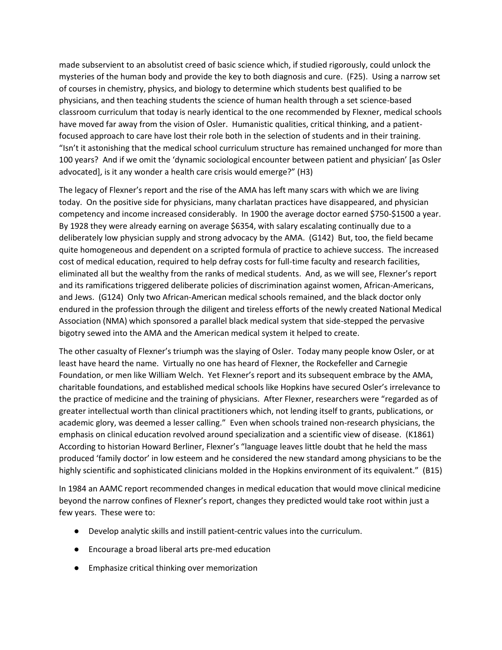made subservient to an absolutist creed of basic science which, if studied rigorously, could unlock the mysteries of the human body and provide the key to both diagnosis and cure. (F25). Using a narrow set of courses in chemistry, physics, and biology to determine which students best qualified to be physicians, and then teaching students the science of human health through a set science-based classroom curriculum that today is nearly identical to the one recommended by Flexner, medical schools have moved far away from the vision of Osler. Humanistic qualities, critical thinking, and a patientfocused approach to care have lost their role both in the selection of students and in their training. "Isn't it astonishing that the medical school curriculum structure has remained unchanged for more than 100 years? And if we omit the 'dynamic sociological encounter between patient and physician' [as Osler advocated], is it any wonder a health care crisis would emerge?" (H3)

The legacy of Flexner's report and the rise of the AMA has left many scars with which we are living today. On the positive side for physicians, many charlatan practices have disappeared, and physician competency and income increased considerably. In 1900 the average doctor earned \$750-\$1500 a year. By 1928 they were already earning on average \$6354, with salary escalating continually due to a deliberately low physician supply and strong advocacy by the AMA. (G142) But, too, the field became quite homogeneous and dependent on a scripted formula of practice to achieve success. The increased cost of medical education, required to help defray costs for full-time faculty and research facilities, eliminated all but the wealthy from the ranks of medical students. And, as we will see, Flexner's report and its ramifications triggered deliberate policies of discrimination against women, African-Americans, and Jews. (G124) Only two African-American medical schools remained, and the black doctor only endured in the profession through the diligent and tireless efforts of the newly created National Medical Association (NMA) which sponsored a parallel black medical system that side-stepped the pervasive bigotry sewed into the AMA and the American medical system it helped to create.

The other casualty of Flexner's triumph was the slaying of Osler. Today many people know Osler, or at least have heard the name. Virtually no one has heard of Flexner, the Rockefeller and Carnegie Foundation, or men like William Welch. Yet Flexner's report and its subsequent embrace by the AMA, charitable foundations, and established medical schools like Hopkins have secured Osler's irrelevance to the practice of medicine and the training of physicians. After Flexner, researchers were "regarded as of greater intellectual worth than clinical practitioners which, not lending itself to grants, publications, or academic glory, was deemed a lesser calling." Even when schools trained non-research physicians, the emphasis on clinical education revolved around specialization and a scientific view of disease. (K1861) According to historian Howard Berliner, Flexner's "language leaves little doubt that he held the mass produced 'family doctor' in low esteem and he considered the new standard among physicians to be the highly scientific and sophisticated clinicians molded in the Hopkins environment of its equivalent." (B15)

In 1984 an AAMC report recommended changes in medical education that would move clinical medicine beyond the narrow confines of Flexner's report, changes they predicted would take root within just a few years. These were to:

- Develop analytic skills and instill patient-centric values into the curriculum.
- Encourage a broad liberal arts pre-med education
- Emphasize critical thinking over memorization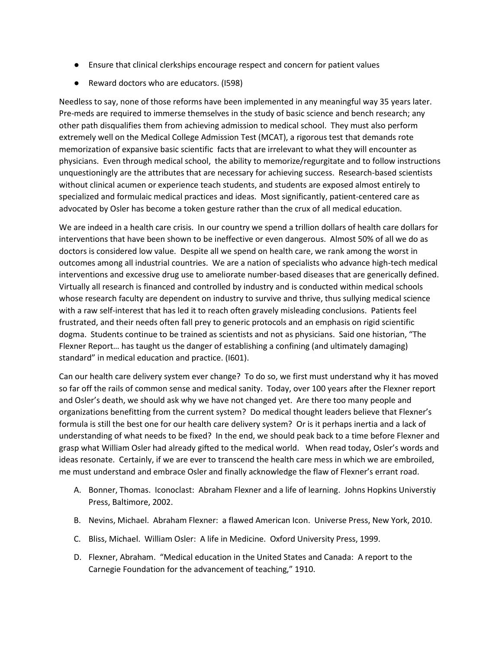- Ensure that clinical clerkships encourage respect and concern for patient values
- Reward doctors who are educators. (I598)

Needless to say, none of those reforms have been implemented in any meaningful way 35 years later. Pre-meds are required to immerse themselves in the study of basic science and bench research; any other path disqualifies them from achieving admission to medical school. They must also perform extremely well on the Medical College Admission Test (MCAT), a rigorous test that demands rote memorization of expansive basic scientific facts that are irrelevant to what they will encounter as physicians. Even through medical school, the ability to memorize/regurgitate and to follow instructions unquestioningly are the attributes that are necessary for achieving success. Research-based scientists without clinical acumen or experience teach students, and students are exposed almost entirely to specialized and formulaic medical practices and ideas. Most significantly, patient-centered care as advocated by Osler has become a token gesture rather than the crux of all medical education.

We are indeed in a health care crisis. In our country we spend a trillion dollars of health care dollars for interventions that have been shown to be ineffective or even dangerous. Almost 50% of all we do as doctors is considered low value. Despite all we spend on health care, we rank among the worst in outcomes among all industrial countries. We are a nation of specialists who advance high-tech medical interventions and excessive drug use to ameliorate number-based diseases that are generically defined. Virtually all research is financed and controlled by industry and is conducted within medical schools whose research faculty are dependent on industry to survive and thrive, thus sullying medical science with a raw self-interest that has led it to reach often gravely misleading conclusions. Patients feel frustrated, and their needs often fall prey to generic protocols and an emphasis on rigid scientific dogma. Students continue to be trained as scientists and not as physicians. Said one historian, "The Flexner Report… has taught us the danger of establishing a confining (and ultimately damaging) standard" in medical education and practice. (I601).

Can our health care delivery system ever change? To do so, we first must understand why it has moved so far off the rails of common sense and medical sanity. Today, over 100 years after the Flexner report and Osler's death, we should ask why we have not changed yet. Are there too many people and organizations benefitting from the current system? Do medical thought leaders believe that Flexner's formula is still the best one for our health care delivery system? Or is it perhaps inertia and a lack of understanding of what needs to be fixed? In the end, we should peak back to a time before Flexner and grasp what William Osler had already gifted to the medical world. When read today, Osler's words and ideas resonate. Certainly, if we are ever to transcend the health care mess in which we are embroiled, me must understand and embrace Osler and finally acknowledge the flaw of Flexner's errant road.

- A. Bonner, Thomas. Iconoclast: Abraham Flexner and a life of learning. Johns Hopkins Universtiy Press, Baltimore, 2002.
- B. Nevins, Michael. Abraham Flexner: a flawed American Icon. Universe Press, New York, 2010.
- C. Bliss, Michael. William Osler: A life in Medicine. Oxford University Press, 1999.
- D. Flexner, Abraham. "Medical education in the United States and Canada: A report to the Carnegie Foundation for the advancement of teaching," 1910.